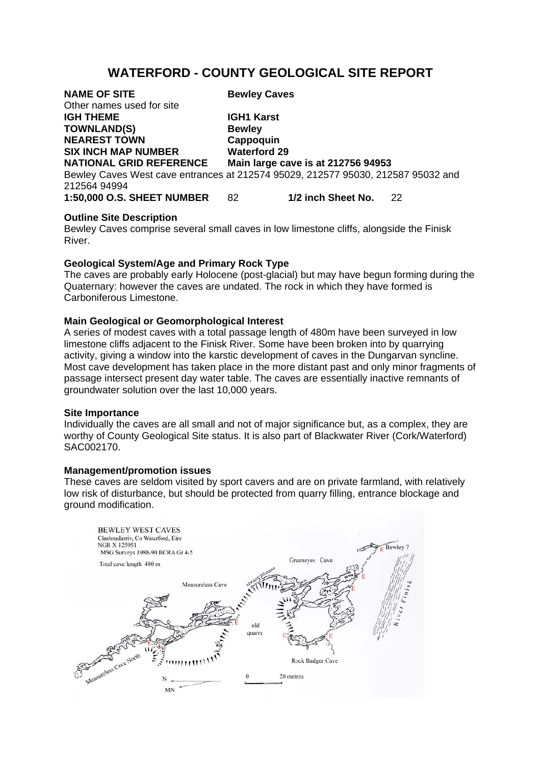# **WATERFORD - COUNTY GEOLOGICAL SITE REPORT**

| <b>NAME OF SITE</b>                                                              | <b>Bewley Caves</b>                |                    |    |
|----------------------------------------------------------------------------------|------------------------------------|--------------------|----|
| Other names used for site                                                        |                                    |                    |    |
| <b>IGH THEME</b>                                                                 | <b>IGH1 Karst</b>                  |                    |    |
| <b>TOWNLAND(S)</b>                                                               | <b>Bewley</b>                      |                    |    |
| <b>NEAREST TOWN</b>                                                              | Cappoquin                          |                    |    |
| <b>SIX INCH MAP NUMBER</b>                                                       | <b>Waterford 29</b>                |                    |    |
| <b>NATIONAL GRID REFERENCE</b>                                                   | Main large cave is at 212756 94953 |                    |    |
| Bewley Caves West cave entrances at 212574 95029, 212577 95030, 212587 95032 and |                                    |                    |    |
| 212564 94994                                                                     |                                    |                    |    |
| <b>1:50,000 O.S. SHEET NUMBER</b>                                                | 82                                 | 1/2 inch Sheet No. | 22 |

## **Outline Site Description**

Bewley Caves comprise several small caves in low limestone cliffs, alongside the Finisk River.

# **Geological System/Age and Primary Rock Type**

The caves are probably early Holocene (post-glacial) but may have begun forming during the Quaternary: however the caves are undated. The rock in which they have formed is Carboniferous Limestone.

# **Main Geological or Geomorphological Interest**

A series of modest caves with a total passage length of 480m have been surveyed in low limestone cliffs adjacent to the Finisk River. Some have been broken into by quarrying activity, giving a window into the karstic development of caves in the Dungarvan syncline. Most cave development has taken place in the more distant past and only minor fragments of passage intersect present day water table. The caves are essentially inactive remnants of groundwater solution over the last 10,000 years.

## **Site Importance**

Individually the caves are all small and not of major significance but, as a complex, they are worthy of County Geological Site status. It is also part of Blackwater River (Cork/Waterford) SAC002170.

## **Management/promotion issues**

These caves are seldom visited by sport cavers and are on private farmland, with relatively low risk of disturbance, but should be protected from quarry filling, entrance blockage and around modification.

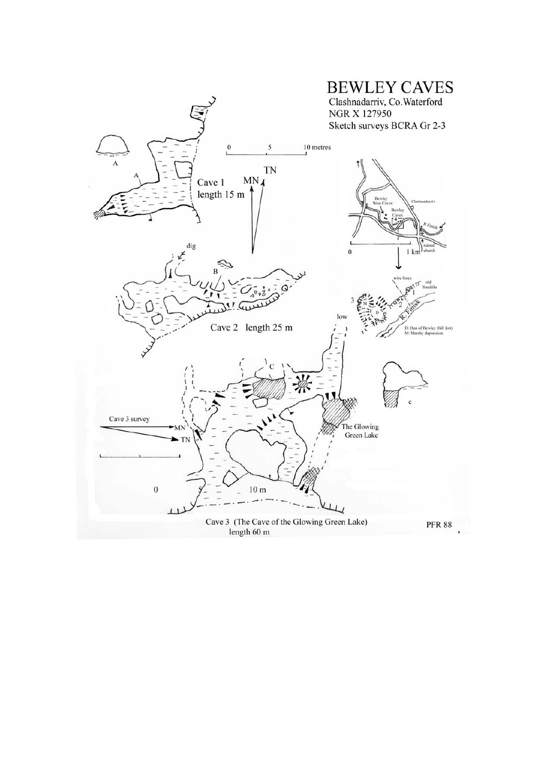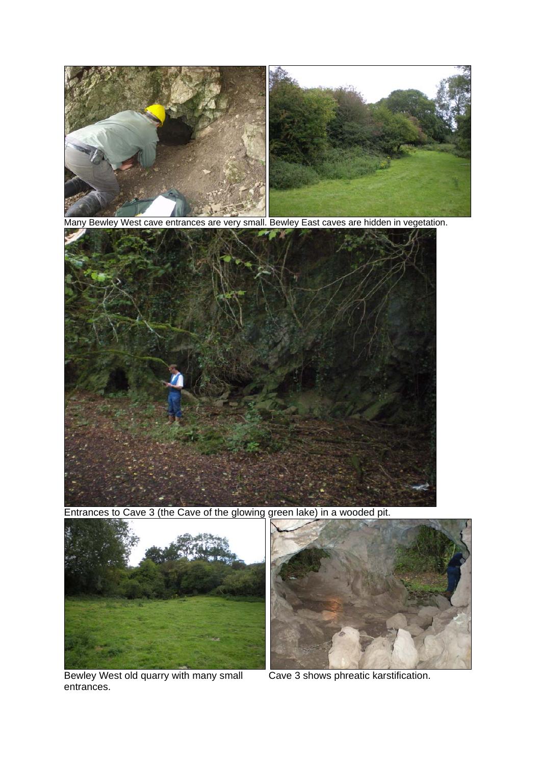

Many Bewley West cave entrances are very small. Bewley East caves are hidden in vegetation.



Entrances to Cave 3 (the Cave of the glowing green lake) in a wooded pit.



Bewley West old quarry with many small entrances.



Cave 3 shows phreatic karstification.